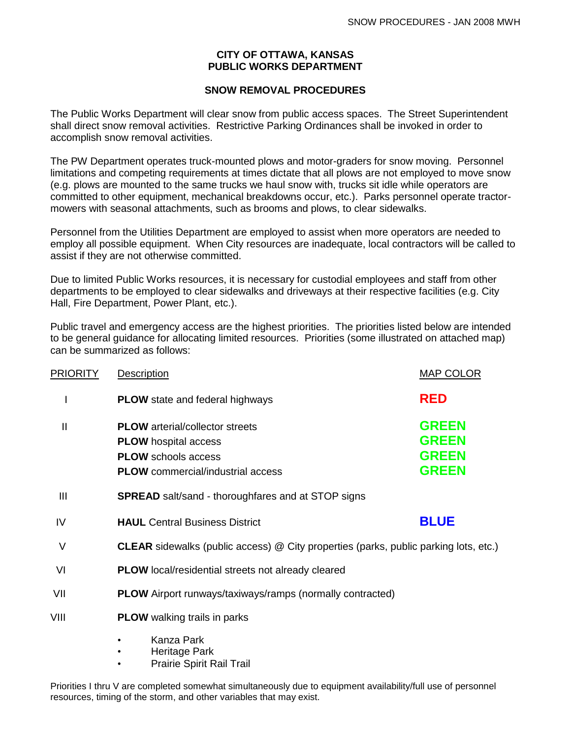#### **CITY OF OTTAWA, KANSAS PUBLIC WORKS DEPARTMENT**

#### **SNOW REMOVAL PROCEDURES**

The Public Works Department will clear snow from public access spaces. The Street Superintendent shall direct snow removal activities. Restrictive Parking Ordinances shall be invoked in order to accomplish snow removal activities.

The PW Department operates truck-mounted plows and motor-graders for snow moving. Personnel limitations and competing requirements at times dictate that all plows are not employed to move snow (e.g. plows are mounted to the same trucks we haul snow with, trucks sit idle while operators are committed to other equipment, mechanical breakdowns occur, etc.). Parks personnel operate tractormowers with seasonal attachments, such as brooms and plows, to clear sidewalks.

Personnel from the Utilities Department are employed to assist when more operators are needed to employ all possible equipment. When City resources are inadequate, local contractors will be called to assist if they are not otherwise committed.

Due to limited Public Works resources, it is necessary for custodial employees and staff from other departments to be employed to clear sidewalks and driveways at their respective facilities (e.g. City Hall, Fire Department, Power Plant, etc.).

Public travel and emergency access are the highest priorities. The priorities listed below are intended to be general guidance for allocating limited resources. Priorities (some illustrated on attached map) can be summarized as follows:

| <b>PRIORITY</b> | Description                                                                                                                                     | <b>MAP COLOR</b>                                             |
|-----------------|-------------------------------------------------------------------------------------------------------------------------------------------------|--------------------------------------------------------------|
|                 | <b>PLOW</b> state and federal highways                                                                                                          | <b>RED</b>                                                   |
| $\mathsf{I}$    | <b>PLOW</b> arterial/collector streets<br><b>PLOW</b> hospital access<br><b>PLOW</b> schools access<br><b>PLOW</b> commercial/industrial access | <b>GREEN</b><br><b>GREEN</b><br><b>GREEN</b><br><b>GREEN</b> |
| Ш               | <b>SPREAD</b> salt/sand - thoroughfares and at STOP signs                                                                                       |                                                              |
| IV              | <b>HAUL</b> Central Business District                                                                                                           | <b>BLUE</b>                                                  |
| V               | <b>CLEAR</b> sidewalks (public access) @ City properties (parks, public parking lots, etc.)                                                     |                                                              |
| VI              | <b>PLOW</b> local/residential streets not already cleared                                                                                       |                                                              |
| VII             | <b>PLOW</b> Airport runways/taxiways/ramps (normally contracted)                                                                                |                                                              |
| VIII            | <b>PLOW</b> walking trails in parks                                                                                                             |                                                              |
|                 | Kanza Park<br>Heritage Park                                                                                                                     |                                                              |

• Prairie Spirit Rail Trail

Priorities I thru V are completed somewhat simultaneously due to equipment availability/full use of personnel resources, timing of the storm, and other variables that may exist.